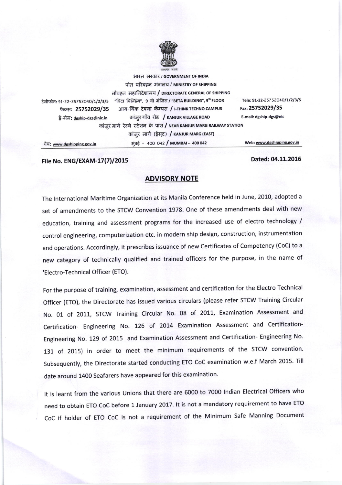

भारत सरकार / GOVERNMENT OF INDIA पोत परिवहन मंत्रालय / MINISTRY OF SHIPPING नौवहन महानिदेशालय / DIRECTORATE GENERAL OF SHIPPING "बिटा बिल्डिंग", 9 वी मंजिल / "BETA BUILDING", 9th FLOOR टेलीफोन: 91-22-25752040/1/2/3/5 फैक्स: 25752029/35 आय-थिंक टेक्नो कॅम्पस / I-THINK TECHNO CAMPUS कांजूर गाँव रोड / KANJUR VILLAGE ROAD ई-मेल: dgship-dgs@nic.in कांजुर मार्ग रेल्वे स्टेशन के पास / NEAR KANJUR MARG RAILWAY STATION कांजूर मार्ग (ईसट) / KANJUR MARG (EAST) मुंबई - 400 042 / MUMBAI - 400 042

Tele: 91-22-25752040/1/2/3/5 Fax: 25752029/35 E-mail: dgship-dgs@nic

वेब: www.dgshipping.gov.in

File No. ENG/EXAM-17(7)/2015

Dated: 04.11.2016

Web: www.dgshipping.gov.in

## **ADVISORY NOTE**

The International Maritime Organization at its Manila Conference held in June, 2010, adopted a set of amendments to the STCW Convention 1978. One of these amendments deal with new education, training and assessment programs for the increased use of electro technology / control engineering, computerization etc. in modern ship design, construction, instrumentation and operations. Accordingly, it prescribes issuance of new Certificates of Competency (CoC) to a new category of technically qualified and trained officers for the purpose, in the name of 'Electro-Technical Officer (ETO).

For the purpose of training, examination, assessment and certification for the Electro Technical Officer (ETO), the Directorate has issued various circulars (please refer STCW Training Circular No. 01 of 2011, STCW Training Circular No. 08 of 2011, Examination Assessment and Certification- Engineering No. 126 of 2014 Examination Assessment and Certification-Engineering No. 129 of 2015 and Examination Assessment and Certification- Engineering No. 131 of 2015) in order to meet the minimum requirements of the STCW convention. Subsequently, the Directorate started conducting ETO CoC examination w.e.f March 2015. Till date around 1400 Seafarers have appeared for this examination.

It is learnt from the various Unions that there are 6000 to 7000 Indian Electrical Officers who need to obtain ETO CoC before 1 January 2017. It is not a mandatory requirement to have ETO CoC if holder of ETO CoC is not a requirement of the Minimum Safe Manning Document